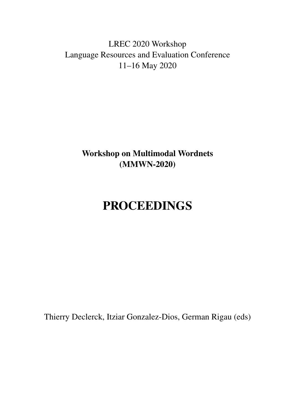<span id="page-0-0"></span>LREC 2020 Workshop Language Resources and Evaluation Conference 11–16 May 2020

> Workshop on Multimodal Wordnets (MMWN-2020)

# PROCEEDINGS

Thierry Declerck, Itziar Gonzalez-Dios, German Rigau (eds)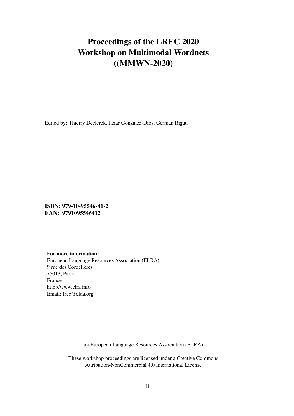# Proceedings of the LREC 2020 Workshop on Multimodal Wordnets ((MMWN-2020)

Edited by: Thierry Declerck, Itziar Gonzalez-Dios, German Rigau

ISBN: 979-10-95546-41-2 EAN: 9791095546412

#### For more information:

European Language Resources Association (ELRA) 9 rue des Cordelières 75013, Paris France http://www.elra.info Email: lrec@elda.org

c European Language Resources Association (ELRA)

These workshop proceedings are licensed under a Creative Commons Attribution-NonCommercial 4.0 International License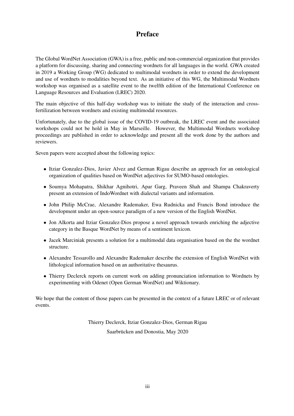### Preface

The Global WordNet Association (GWA) is a free, public and non-commercial organization that provides a platform for discussing, sharing and connecting wordnets for all languages in the world. GWA created in 2019 a Working Group (WG) dedicated to multimodal wordnets in order to extend the development and use of wordnets to modalities beyond text. As an initiative of this WG, the Multimodal Wordnets workshop was organised as a satellite event to the twelfth edition of the International Conference on Language Resources and Evaluation (LREC) 2020.

The main objective of this half-day workshop was to initiate the study of the interaction and crossfertilization between wordnets and existing multimodal resources.

Unfortunately, due to the global issue of the COVID-19 outbreak, the LREC event and the associated workshops could not be hold in May in Marseille. However, the Multimodal Wordnets workshop proceedings are published in order to acknowledge and present all the work done by the authors and reviewers.

Seven papers were accepted about the following topics:

- Itziar Gonzalez-Dios, Javier Alvez and German Rigau describe an approach for an ontological organization of qualities based on WordNet adjectives for SUMO-based ontologies.
- Soumya Mohapatra, Shikhar Agnihotri, Apar Garg, Praveen Shah and Shampa Chakraverty present an extension of IndoWordnet with dialectal variants and information.
- John Philip McCrae, Alexandre Rademaker, Ewa Rudnicka and Francis Bond introduce the development under an open-source paradigm of a new version of the English WordNet.
- Jon Alkorta and Itziar Gonzalez-Dios propose a novel approach towards enriching the adjective category in the Basque WordNet by means of a sentiment lexicon.
- Jacek Marciniak presents a solution for a multimodal data organisation based on the the wordnet structure.
- Alexandre Tessarollo and Alexandre Rademaker describe the extension of English WordNet with lithological information based on an authoritative thesaurus.
- Thierry Declerck reports on current work on adding pronunciation information to Wordnets by experimenting with Odenet (Open German WordNet) and Wiktionary.

We hope that the content of those papers can be presented in the context of a future LREC or of relevant events.

> Thierry Declerck, Itziar Gonzalez-Dios, German Rigau Saarbrücken and Donostia, May 2020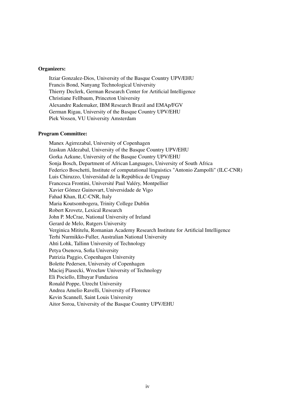#### Organizers:

Itziar Gonzalez-Dios, University of the Basque Country UPV/EHU Francis Bond, Nanyang Technological University Thierry Declerk, German Research Center for Artificial Intelligence Christiane Fellbaum, Princeton University Alexandre Rademaker, IBM Research Brazil and EMAp/FGV German Rigau, University of the Basque Country UPV/EHU Piek Vossen, VU University Amsterdam

#### Program Committee:

Manex Agirrezabal, University of Copenhagen Izaskun Aldezabal, University of the Basque Country UPV/EHU Gorka Azkune, University of the Basque Country UPV/EHU Sonja Bosch, Department of African Languages, University of South Africa Federico Boschetti, Institute of computational linguistics "Antonio Zampolli" (ILC-CNR) Luis Chiruzzo, Universidad de la República de Uruguay Francesca Frontini, Université Paul Valéry, Montpellier Xavier Gómez Guinovart, Universidade de Vigo Fahad Khan, ILC-CNR, Italy Maria Koutsombogera, Trinity College Dublin Robert Krovetz, Lexical Research John P. McCrae, National University of Ireland Gerard de Melo, Rutgers University Verginica Mititelu, Romanian Academy Research Institute for Artificial Intelligence Terhi Nurmikko-Fuller, Australian National University Ahti Lohk, Tallinn University of Technology Petya Osenova, Sofia University Patrizia Paggio, Copenhagen University Bolette Pedersen, University of Copenhagen Maciej Piasecki, Wrocław University of Technology Eli Pociello, Elhuyar Fundazioa Ronald Poppe, Utrecht University Andrea Amelio Ravelli, University of Florence Kevin Scannell, Saint Louis University Aitor Soroa, University of the Basque Country UPV/EHU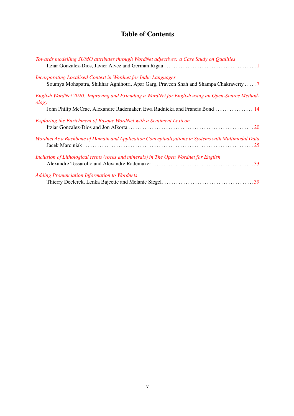## Table of Contents

| Towards modelling SUMO attributes through WordNet adjectives: a Case Study on Qualities                                                                                                 |
|-----------------------------------------------------------------------------------------------------------------------------------------------------------------------------------------|
| <b>Incorporating Localised Context in Wordnet for Indic Languages</b><br>Soumya Mohapatra, Shikhar Agnihotri, Apar Garg, Praveen Shah and Shampa Chakraverty  7                         |
| English WordNet 2020: Improving and Extending a WordNet for English using an Open-Source Method-<br>ology<br>John Philip McCrae, Alexandre Rademaker, Ewa Rudnicka and Francis Bond  14 |
| Exploring the Enrichment of Basque WordNet with a Sentiment Lexicon                                                                                                                     |
| Wordnet As a Backbone of Domain and Application Conceptualizations in Systems with Multimodal Data                                                                                      |
| Inclusion of Lithological terms (rocks and minerals) in The Open Wordnet for English                                                                                                    |
| <b>Adding Pronunciation Information to Wordnets</b>                                                                                                                                     |